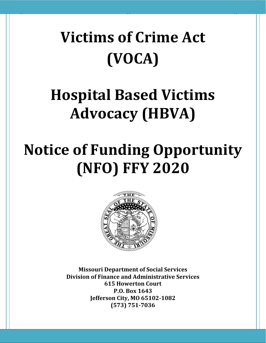# **Victims of Crime Act (VOCA)**

 $\Gamma$  , the here  $\Gamma$  is the here  $\Gamma$  (  $\Gamma$  ) and  $\Gamma$  (  $\Gamma$  ) and  $\Gamma$  (  $\Gamma$  ) and  $\Gamma$  (  $\Gamma$  ) and  $\Gamma$ 

# **Hospital Based Victims Advocacy (HBVA)**

# **Notice of Funding Opportunity (NFO) FFY 2020**



**Missouri Department of Social Services Division of Finance and Administrative Services 615 Howerton Court P.O. Box 1643 Jefferson City, MO 65102-1082 (573) 751-7036**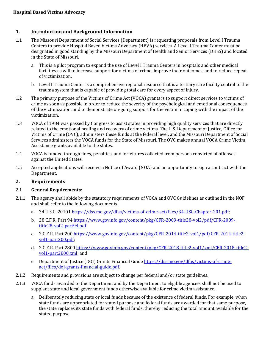# **1. Introduction and Background Information**

- 1.1 The Missouri Department of Social Services (Department) is requesting proposals from Level I Trauma Centers to provide Hospital Based Victims Advocacy (HBVA) services. A Level I Trauma Center must be designated in good standing by the Missouri Department of Health and Senior Services (DHSS) and located in the State of Missouri.
	- a. This is a pilot program to expand the use of Level I Trauma Centers in hospitals and other medical facilities as will to increase support for victims of crime, improve their outcomes, and to reduce repeat of victimization.
	- b. Level I Trauma Center is a comprehensive regional resource that is a tertiary care facility central to the trauma system that is capable of providing total care for every aspect of injury.
- 1.2 The primary purpose of the Victims of Crime Act (VOCA) grants is to support direct services to victims of crime as soon as possible in order to reduce the severity of the psychological and emotional consequences of the victimization, and to demonstrate on-going support for the victim in coping with the impact of the victimization.
- 1.3 VOCA of 1984 was passed by Congress to assist states in providing high quality services that are directly related to the emotional healing and recovery of crime victims. The U.S. Department of Justice, Office for Victims of Crime (OVC), administers these funds at the federal level, and the Missouri Department of Social Services administers the VOCA funds for the State of Missouri. The OVC makes annual VOCA Crime Victim Assistance grants available to the states.
- 1.4 VOCA is funded through fines, penalties, and forfeitures collected from persons convicted of offenses against the United States.
- 1.5 Accepted applications will receive a Notice of Award (NOA) and an opportunity to sign a contract with the Department.

# **2. Requirements**

## 2.1 **General Requirements:**

- 2.1.1 The agency shall abide by the statutory requirements of VOCA and OVC Guidelines as outlined in the NOF and shall refer to the following documents.
	- a. 34 U.S.C. 2010[1 https://dss.mo.gov/dfas/victims-of-crime-act/files/34-USC-Chapter-201.pdf;](https://dss.mo.gov/dfas/victims-of-crime-act/files/34-USC-Chapter-201.pdf)
	- b. 28 C.F.R. Part 9[4 https://www.govinfo.gov/content/pkg/CFR-2009-title28-vol2/pdf/CFR-2009](https://www.govinfo.gov/content/pkg/CFR-2009-title28-vol2/pdf/CFR-2009-title28-vol2-part94.pdf) [title28-vol2-part94.pdf](https://www.govinfo.gov/content/pkg/CFR-2009-title28-vol2/pdf/CFR-2009-title28-vol2-part94.pdf)
	- c. 2 C.F.R. Part 20[0 https://www.govinfo.gov/content/pkg/CFR-2014-title2-vol1/pdf/CFR-2014-title2](https://www.govinfo.gov/content/pkg/CFR-2014-title2-vol1/pdf/CFR-2014-title2-vol1-part200.pdf) [vol1-part200.pdf;](https://www.govinfo.gov/content/pkg/CFR-2014-title2-vol1/pdf/CFR-2014-title2-vol1-part200.pdf)
	- d. 2 C.F.R. Part 280[0 https://www.govinfo.gov/content/pkg/CFR-2018-title2-vol1/xml/CFR-2018-title2](https://www.govinfo.gov/content/pkg/CFR-2018-title2-vol1/xml/CFR-2018-title2-vol1-part2800.xml) [vol1-part2800.xml;](https://www.govinfo.gov/content/pkg/CFR-2018-title2-vol1/xml/CFR-2018-title2-vol1-part2800.xml) and
	- e. Department of Justice (DOJ) Grants Financial Guid[e https://dss.mo.gov/dfas/victims-of-crime](https://dss.mo.gov/dfas/victims-of-crime-act/files/doj-grants-financial-guide.pdf)[act/files/doj-grants-financial-guide.pdf.](https://dss.mo.gov/dfas/victims-of-crime-act/files/doj-grants-financial-guide.pdf)
- 2.1.2 Requirements and provisions are subject to change per federal and/or state guidelines.
- 2.1.3 VOCA funds awarded to the Department and by the Department to eligible agencies shall not be used to supplant state and local government funds otherwise available for crime victim assistance.
	- a. Deliberately reducing state or local funds because of the existence of federal funds. For example, when state funds are appropriated for stated purpose and federal funds are awarded for that same purpose, the state replaces its state funds with federal funds, thereby reducing the total amount available for the stated purpose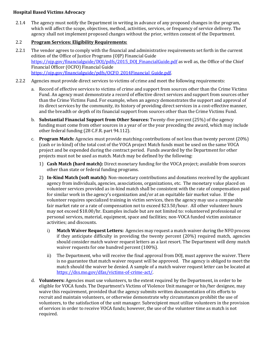2.1.4 The agency must notify the Department in writing in advance of any proposed changes in the program, which will affect the scope, objectives, method, activities, services, or frequency of service delivery. The agency shall not implement proposed changes without the prior, written consent of the Department.

# 2.2 **Program Services: Eligibility Requirements:**

- 2.2.1 The vendor agrees to comply with the financial and administrative requirements set forth in the current edition of the Office of Justice Programs (OJP) Financial Guide [https://ojp.gov/financialguide/DOJ/pdfs/2015\\_DOJ\\_FinancialGuide.pdf](https://ojp.gov/financialguide/DOJ/pdfs/2015_DOJ_FinancialGuide.pdf) as well as, the Office of the Chief Financial Officer (OCFO) Financial Guide [https://ojp.gov/financialguide/pdfs/OCFO\\_2014Financial\\_Guide.pdf.](https://ojp.gov/financialguide/pdfs/OCFO_2014Financial_Guide.pdf)
- 2.2.2 Agencies must provide direct services to victims of crime and meet the following requirements:
	- a. Record of effective services to victims of crime and support from sources other than the Crime Victims Fund. An agency must demonstrate a record of effective direct services and support from sources other than the Crime Victims Fund. For example, when an agency demonstrates the support and approval of its direct services by the community, its history of providing direct services in a cost-effective manner, and the breadth or depth of its financial support from sources other than the Crime Victims Fund.
	- b. **Substantial Financial Support from Other Sources:** Twenty-five percent (25%) of the agency funding must come from other sources in a year of or the year preceding the award, which may include other federal funding (28 C.F.R. part 94.112).
	- c. **Program Match:** Agencies must provide matching contributions of not less than twenty percent (20%) (cash or in-kind) of the total cost of the VOCA project Match funds must be used on the same VOCA project and be expended during the contract period. Funds awarded by the Department for other projects must not be used as match. Match may be defined by the following:
		- 1) **Cash Match (hard match):** Direct monetary funding for the VOCA project; available from sources other than state or federal funding programs.
		- 2) **In-Kind Match (soft match):** Non-monetary contributions and donations received by the applicant agency from individuals, agencies, associations, organizations, etc. The monetary value placed on volunteer services provided as in-kind match shall be consistent with the rate of compensation paid for similar work in the agency's organization and/or at an equitable fair market value. If the volunteer requires specialized training in victim services, then the agency may use a comparable fair market rate or a rate of compensation not to exceed \$23.50/hour. All other volunteer hours may not exceed \$18.00/hr. Examples include but are not limited to: volunteered professional or personal services, material, equipment, space and facilities; non-VOCA funded victim assistance activities; and discounts.
			- i) **Match Waiver Request Letters:** Agencies may request a match waiver during the NFO process if they anticipate difficulty in providing the twenty percent (20%) required match, agencies should consider match waiver request letters as a last resort. The Department will deny match waiver requests for one hundred percent (100%).
			- ii) The Department, who will receive the final approval from DOJ, must approve the waiver. There is no guarantee that match waiver request will be approved. The agency is obliged to meet the match should the waiver be denied. A sample of a match waiver request letter can be located at [https://dss.mo.gov/dfas/victims-of-crime-act/.](https://dss.mo.gov/dfas/victims-of-crime-act/)
	- d. **Volunteers:** Agencies must use volunteers, to the extent required by the Department, in order to be eligible for VOCA funds. The Department's Victims of Violence Unit manager or his/her designee, may waive this requirement, provided that the agency submits written documentation of its efforts to recruit and maintain volunteers, or otherwise demonstrate why circumstances prohibit the use of volunteers, to the satisfaction of the unit manager. Subrecipient must utilize volunteers in the provision of services in order to receive VOCA funds; however, the use of the volunteer time as match is not required.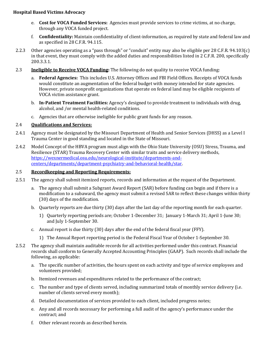- e. **Cost for VOCA Funded Services:** Agencies must provide services to crime victims, at no charge, through any VOCA funded project.
- f. **Confidentiality:** Maintain confidentiality of client-information, as required by state and federal law and as specified in 28 C.F.R. 94.115.
- 2.2.3 Other agencies operating as a "pass through" or "conduit" entity may also be eligible per 28 C.F.R. 94.103(c) in that event, they must comply with the added duties and responsibilities listed in 2 C.F.R. 200, specifically 200.3.3.1.
- 2.3 **Ineligible to Receive VOCA Funding:** The following do not quality to receive VOCA funding:
	- a. **Federal Agencies:** This includes U.S. Attorney Offices and FBI Field Offices. Receipts of VOCA funds would constitute an augmentation of the federal budget with money intended for state agencies. However, private nonprofit organizations that operate on federal land may be eligible recipients of VOCA victim assistance grant.
	- b. **In-Patient Treatment Facilities:** Agency's designed to provide treatment to individuals with drug, alcohol, and /or mental health-related conditions.
	- c. Agencies that are otherwise ineligible for public grant funds for any reason.

#### 2.4 **Qualifications and Services:**

- 2.4.1 Agency must be designated by the Missouri Department of Health and Senior Services (DHSS) as a Level I Trauma Center in good standing and located in the State of Missouri.
- 2.4.2 Model Concept of the HBVA program must align with the Ohio State University (OSU) Stress, Trauma, and Resilience (STAR) Trauma Recovery Center with similar traits and service delivery methods, [https://wexnermedical.osu.edu/neurological-institute/departments-and](https://wexnermedical.osu.edu/neurological-institute/departments-and-centers/departments/department-psychiatry-and-behavioral-health/star)[centers/departments/department-psychiatry-and-behavioral-health/star.](https://wexnermedical.osu.edu/neurological-institute/departments-and-centers/departments/department-psychiatry-and-behavioral-health/star)

#### 2.5 **Recordkeeping and Reporting Requirements:**

- 2.5.1 The agency shall submit itemized reports, records and information at the request of the Department.
	- a. The agency shall submit a Subgrant Award Report (SAR) before funding can begin and if there is a modification to a subaward, the agency must submit a revised SAR to reflect these changes within thirty (30) days of the modification.
	- b. Quarterly reports are due thirty (30) days after the last day of the reporting month for each quarter.
		- 1) Quarterly reporting periods are; October 1-December 31; January 1-March 31; April 1-June 30; and July 1-September 30.
	- c. Annual report is due thirty (30) days after the end of the federal fiscal year (FFY).
		- 1) The Annual Report reporting period is the Federal Fiscal Year of October 1-September 30.
- 2.5.2 The agency shall maintain auditable records for all activities performed under this contract. Financial records shall conform to Generally Accepted Accounting Principles (GAAP). Such records shall include the following, as applicable:
	- a. The specific number of activities, the hours spent on each activity and type of service employees and volunteers provided;
	- b. Itemized revenues and expenditures related to the performance of the contract;
	- c. The number and type of clients served, including summarized totals of monthly service delivery (i.e. number of clients served every month);
	- d. Detailed documentation of services provided to each client, included progress notes;
	- e. Any and all records necessary for performing a full audit of the agency's performance under the contract; and
	- f. Other relevant records as described herein.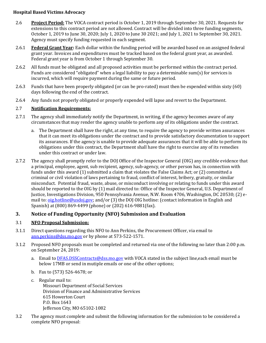- 2.6 **Project Period:** The VOCA contract period is October 1, 2019 through September 30, 2021. Requests for extensions to this contract period are not allowed. Contract will be divided into three funding segments, October 1, 2019 to June 30, 2020; July 1, 2020 to June 30 2021; and July 1, 2021 to September 30, 2021. Agency must specify funding requested in each segment.
- 2.6.1 **Federal Grant Year:** Each dollar within the funding period will be awarded based on an assigned federal grant year. Invoices and expenditures must be tracked based on the federal grant year, as awarded. Federal grant year is from October 1 through September 30.
- 2.6.2 All funds must be obligated and all proposed activities must be performed within the contract period. Funds are considered "obligated" when a legal liability to pay a determinable sum(s) for services is incurred, which will require payment during the same or future period.
- 2.6.3 Funds that have been properly obligated (or can be pro-rated) must then be expended within sixty (60) days following the end of the contract.
- 2.6.4 Any funds not properly obligated or properly expended will lapse and revert to the Department.

# 2.7 **Notification Requirements:**

- 2.7.1 The agency shall immediately notify the Department, in writing, if the agency becomes aware of any circumstances that may render the agency unable to perform any of its obligations under the contract.
	- a. The Department shall have the right, at any time, to require the agency to provide written assurances that it can meet its obligations under the contract and to provide satisfactory documentation to support its assurances. If the agency is unable to provide adequate assurances that it will be able to perform its obligations under this contract, the Department shall have the right to exercise any of its remedies under this contract or under law.
- 2.7.2 The agency shall promptly refer to the DOJ Office of the Inspector General (OIG) any credible evidence that a principal, employee, agent, sub recipient, agency, sub-agency, or other person has, in connection with funds under this award (1) submitted a claim that violates the False Claims Act; or (2) committed a criminal or civil violation of laws pertaining to fraud, conflict of interest, bribery, gratuity, or similar misconduct. Potential fraud, waste, abuse, or misconduct involving or relating to funds under this award should be reported to the OIG by (1) mail directed to: Office of the Inspector General, U.S. Department of Justice, Investigations Division, 950 Pennsylvania Avenue, N.W. Room 4706, Washington, DC 20530; (2) email to: [oig.hotline@usdoj.gov;](mailto:oig.hotline@usdoj.gov) and/or (3) the DOJ OIG hotline: (contact information in English and Spanish) at (800) 869-4499 (phone) or (202) 616-9881(fax).

# **3. Notice of Funding Opportunity (NFO) Submission and Evaluation**

# 3.1 **NFO Proposal Submission:**

- 3.1.1 Direct questions regarding this NFO to Ann Perkins, the Procurement Officer, via email to [ann.perkins@dss.mo.gov](mailto:ann.perkins@dss.mo.gov) or by phone at 573-522-1571.
- 3.1.2 Proposed NFO proposals must be completed and returned via one of the following no later than 2:00 p.m. on September 24, 2019:
	- a. Email to [DFAS.DSSContracts@dss.mo.gov](mailto:DFAS.DSSContracts@dss.mo.gov) with VOCA stated in the subject line,each email must be below 17MB or send in mutiple emails or one of the other options;
	- b. Fax to (573) 526-4678; or
	- c. Regular mail to: Missouri Department of Social Services Division of Finance and Administrative Services 615 Howerton Court P.O. Box 1643 Jefferson City, MO 65102-1082
- 3.2 The agency must complete and submit the following information for the submission to be considered a complete NFO proposal: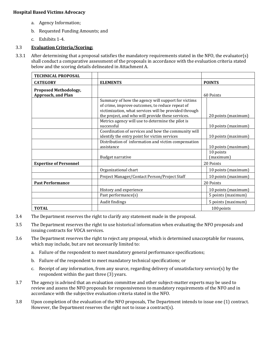- a. Agency Information;
- b. Requested Funding Amounts; and
- c. Exhibits 1-4.

# 3.3 **Evaluation Criteria/Scoring:**

3.3.1 After determining that a proposal satisfies the mandatory requirements stated in the NFO, the evaluator(s) shall conduct a comparative assessment of the proposals in accordance with the evaluation criteria stated below and the scoring details delineated in Attachment A.

| <b>TECHNICAL PROPOSAL</b>                                 |                                                                                                                                                                                                                     |                        |
|-----------------------------------------------------------|---------------------------------------------------------------------------------------------------------------------------------------------------------------------------------------------------------------------|------------------------|
| <b>CATEGORY</b>                                           | <b>ELEMENTS</b>                                                                                                                                                                                                     | <b>POINTS</b>          |
| <b>Proposed Methodology,</b><br><b>Approach, and Plan</b> |                                                                                                                                                                                                                     | 60 Points              |
|                                                           | Summary of how the agency will support for victims<br>of crime, improve outcomes, to reduce repeat of<br>victimization, what services will be provided through<br>the project, and who will provide these services. | 20 points (maximum)    |
|                                                           | Metrics agency will use to determine the pilot is<br>successful                                                                                                                                                     | 10 points (maximum)    |
|                                                           | Coordination of services and how the community will<br>identify the entry point for victim services                                                                                                                 | 10 points (maximum)    |
|                                                           | Distribution of information and victim compensation<br>assistance                                                                                                                                                   | 10 points (maximum)    |
|                                                           | <b>Budget narrative</b>                                                                                                                                                                                             | 10 points<br>(maximum) |
| <b>Expertise of Personnel</b>                             |                                                                                                                                                                                                                     | 20 Points              |
|                                                           | Organizational chart                                                                                                                                                                                                | 10 points (maximum)    |
|                                                           | Project Manager/Contact Person/Project Staff                                                                                                                                                                        | 10 points (maximum)    |
| <b>Past Performance</b>                                   |                                                                                                                                                                                                                     | 20 Points              |
|                                                           | History and experience                                                                                                                                                                                              | 10 points (maximum)    |
|                                                           | Past performance(s)                                                                                                                                                                                                 | 5 points (maximum)     |
|                                                           | Audit findings                                                                                                                                                                                                      | 5 points (maximum)     |
| <b>TOTAL</b>                                              |                                                                                                                                                                                                                     | 100 points             |

- 3.4 The Department reserves the right to clarify any statement made in the proposal.
- 3.5 The Department reserves the right to use historical information when evaluating the NFO proposals and issuing contracts for VOCA services.
- 3.6 The Department reserves the right to reject any proposal, which is determined unacceptable for reasons, which may include, but are not necessarily limited to:
	- a. Failure of the respondent to meet mandatory general performance specifications;
	- b. Failure of the respondent to meet mandatory technical specifications; or
	- c. Receipt of any information, from any source, regarding delivery of unsatisfactory service(s) by the respondent within the past three (3) years.
- 3.7 The agency is advised that an evaluation committee and other subject-matter experts may be used to review and assess the NFO proposals for responsiveness to mandatory requirements of the NFO and in accordance with the subjective evaluation criteria stated in the NFO.
- 3.8 Upon completion of the evaluation of the NFO proposals, The Department intends to issue one (1) contract. However, the Department reserves the right not to issue a contract(s).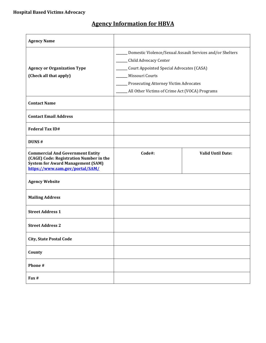# **Agency Information for HBVA**

| <b>Agency Name</b>                                                                                                                                                |                                                                                                                                                                                                                                                     |                          |
|-------------------------------------------------------------------------------------------------------------------------------------------------------------------|-----------------------------------------------------------------------------------------------------------------------------------------------------------------------------------------------------------------------------------------------------|--------------------------|
| <b>Agency or Organization Type</b><br>(Check all that apply)                                                                                                      | Domestic Violence/Sexual Assault Services and/or Shelters<br>Child Advocacy Center<br>Court Appointed Special Advocates (CASA)<br>Missouri Courts<br><b>Prosecuting Attorney Victim Advocates</b><br>All Other Victims of Crime Act (VOCA) Programs |                          |
| <b>Contact Name</b>                                                                                                                                               |                                                                                                                                                                                                                                                     |                          |
| <b>Contact Email Address</b>                                                                                                                                      |                                                                                                                                                                                                                                                     |                          |
| <b>Federal Tax ID#</b>                                                                                                                                            |                                                                                                                                                                                                                                                     |                          |
| DUNS#                                                                                                                                                             |                                                                                                                                                                                                                                                     |                          |
| <b>Commercial And Government Entity</b><br>(CAGE) Code: Registration Number in the<br><b>System for Award Management (SAM)</b><br>https://www.sam.gov/portal/SAM/ | Code#:                                                                                                                                                                                                                                              | <b>Valid Until Date:</b> |
| <b>Agency Website</b>                                                                                                                                             |                                                                                                                                                                                                                                                     |                          |
| <b>Mailing Address</b>                                                                                                                                            |                                                                                                                                                                                                                                                     |                          |
| <b>Street Address 1</b>                                                                                                                                           |                                                                                                                                                                                                                                                     |                          |
| <b>Street Address 2</b>                                                                                                                                           |                                                                                                                                                                                                                                                     |                          |
| <b>City, State Postal Code</b>                                                                                                                                    |                                                                                                                                                                                                                                                     |                          |
| County                                                                                                                                                            |                                                                                                                                                                                                                                                     |                          |
| Phone #                                                                                                                                                           |                                                                                                                                                                                                                                                     |                          |
| Fax #                                                                                                                                                             |                                                                                                                                                                                                                                                     |                          |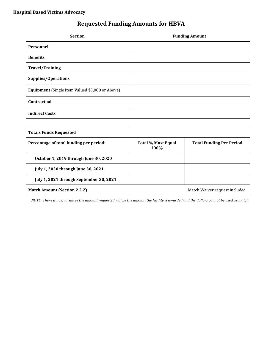| <b>Requested Funding Amounts for HBVA</b> |  |  |
|-------------------------------------------|--|--|
|                                           |  |  |

| <b>Section</b>                                  | <b>Funding Amount</b>             |                                 |
|-------------------------------------------------|-----------------------------------|---------------------------------|
| Personnel                                       |                                   |                                 |
| <b>Benefits</b>                                 |                                   |                                 |
| <b>Travel/Training</b>                          |                                   |                                 |
| <b>Supplies/Operations</b>                      |                                   |                                 |
| Equipment (Single Item Valued \$5,000 or Above) |                                   |                                 |
| Contractual                                     |                                   |                                 |
| <b>Indirect Costs</b>                           |                                   |                                 |
|                                                 |                                   |                                 |
| <b>Totals Funds Requested</b>                   |                                   |                                 |
| Percentage of total funding per period:         | <b>Total % Must Equal</b><br>100% | <b>Total Funding Per Period</b> |
| October 1, 2019 through June 30, 2020           |                                   |                                 |
| July 1, 2020 through June 30, 2021              |                                   |                                 |
| July 1, 2021 through September 30, 2021         |                                   |                                 |
| <b>Match Amount (Section 2.2.2)</b>             |                                   | Match Waiver request included   |

*NOTE: There is no guarantee the amount requested will be the amount the facility is awarded and the dollars cannot be used as match.*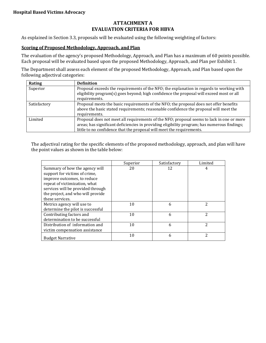# **ATTACHMENT A EVALUATION CRITERIA FOR HBVA**

As explained in Section 3.3, proposals will be evaluated using the following weighting of factors:

#### **Scoring of Proposed Methodology, Approach, and Plan**

The evaluation of the agency's proposed Methodology, Approach, and Plan has a maximum of 60 points possible. Each proposal will be evaluated based upon the proposed Methodology, Approach, and Plan per Exhibit 1.

The Department shall assess each element of the proposed Methodology, Approach, and Plan based upon the following adjectival categories:

| Rating       | <b>Definition</b>                                                                            |
|--------------|----------------------------------------------------------------------------------------------|
| Superior     | Proposal exceeds the requirements of the NFO; the explanation in regards to working with     |
|              | eligibility program(s) goes beyond; high confidence the proposal will exceed most or all     |
|              | requirements.                                                                                |
| Satisfactory | Proposal meets the basic requirements of the NFO; the proposal does not offer benefits       |
|              | above the basic stated requirements; reasonable confidence the proposal will meet the        |
|              | requirements.                                                                                |
| Limited      | Proposal does not meet all requirements of the NFO; proposal seems to lack in one or more    |
|              | areas; has significant deficiencies in providing eligibility program; has numerous findings; |
|              | little to no confidence that the proposal will meet the requirements.                        |

The adjectival rating for the specific elements of the proposed methodology, approach, and plan will have the point values as shown in the table below:

|                                                                                                                                                                                                                              | Superior | Satisfactory | Limited |
|------------------------------------------------------------------------------------------------------------------------------------------------------------------------------------------------------------------------------|----------|--------------|---------|
| Summary of how the agency will<br>support for victims of crime,<br>improve outcomes, to reduce<br>repeat of victimization, what<br>services will be provided through<br>the project, and who will provide<br>these services. | 20       | 12           | 4       |
| Metrics agency will use to<br>determine the pilot is successful                                                                                                                                                              | 10       | 6            | 2       |
| Contributing factors and<br>determination to be successful                                                                                                                                                                   | 10       | 6            | 2       |
| Distribution of information and<br>victim compensation assistance                                                                                                                                                            | 10       | 6            | 2       |
| <b>Budget Narrative</b>                                                                                                                                                                                                      | 10       | 6            | 2       |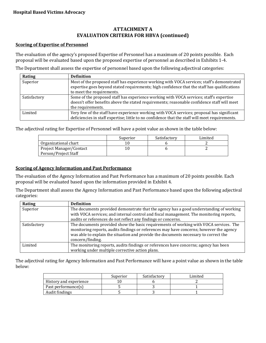# **ATTACHMENT A EVALUATION CRITERIA FOR HBVA (continued)**

#### **Scoring of Expertise of Personnel**

The evaluation of the agency's proposed Expertise of Personnel has a maximum of 20 points possible. Each proposal will be evaluated based upon the proposed expertise of personnel as described in Exhibits 1-4.

The Department shall assess the expertise of personnel based upon the following adjectival categories:

| Rating       | <b>Definition</b>                                                                                                                                                                                                       |
|--------------|-------------------------------------------------------------------------------------------------------------------------------------------------------------------------------------------------------------------------|
| Superior     | Most of the proposed staff has experience working with VOCA services; staff's demonstrated<br>expertise goes beyond stated requirements; high confidence that the staff has qualifications<br>to meet the requirements. |
| Satisfactory | Some of the proposed staff has experience working with VOCA services; staff's expertise<br>doesn't offer benefits above the stated requirements; reasonable confidence staff will meet<br>the requirements.             |
| Limited      | Very few of the staff have experience working with VOCA services; proposal has significant<br>deficiencies in staff expertise; little to no confidence that the staff will meet requirements.                           |

The adjectival rating for Expertise of Personnel will have a point value as shown in the table below:

|                         | Superior | Satisfactory | Limited |
|-------------------------|----------|--------------|---------|
| Organizational chart    |          |              |         |
| Project Manager/Contact |          |              |         |
| Person/Project Staff    |          |              |         |

#### **Scoring of Agency Information and Past Performance**

The evaluation of the Agency Information and Past Performance has a maximum of 20 points possible. Each proposal will be evaluated based upon the information provided in Exhibit 4.

The Department shall assess the Agency Information and Past Performance based upon the following adjectival categories:

| Rating       | <b>Definition</b>                                                                                                                                                                                                                                                                            |
|--------------|----------------------------------------------------------------------------------------------------------------------------------------------------------------------------------------------------------------------------------------------------------------------------------------------|
| Superior     | The documents provided demonstrate that the agency has a good understanding of working<br>with VOCA services; and internal control and fiscal management. The monitoring reports,<br>audits or references do not reflect any findings or concerns.                                           |
| Satisfactory | The documents provided show the basic requirements of working with VOCA services. The<br>monitoring reports, audits findings or references may have concerns; however the agency<br>was able to explain the situation and provide the documents necessary to correct the<br>concern/finding. |
| Limited      | The monitoring reports, audits findings or references have concerns; agency has been<br>working under multiple corrective action plans.                                                                                                                                                      |

The adjectival rating for Agency Information and Past Performance will have a point value as shown in the table below:

|                        | Superior | Satisfactory | Limited |
|------------------------|----------|--------------|---------|
| History and experience |          |              |         |
| Past performance(s)    |          |              |         |
| Audit findings         |          |              |         |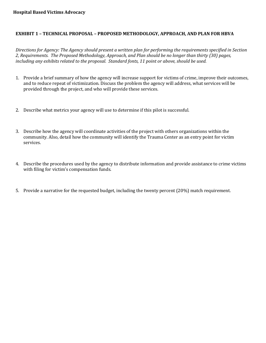# **EXHIBIT 1 – TECHNICAL PROPOSAL – PROPOSED METHODOLOGY, APPROACH, AND PLAN FOR HBVA**

*Directions for Agency: The Agency should present a written plan for performing the requirements specified in Section 2, Requirements. The Proposed Methodology, Approach, and Plan should be no longer than thirty (30) pages, including any exhibits related to the proposal. Standard fonts, 11 point or above, should be used.*

- 1. Provide a brief summary of how the agency will increase support for victims of crime, improve their outcomes, and to reduce repeat of victimization. Discuss the problem the agency will address, what services will be provided through the project, and who will provide these services.
- 2. Describe what metrics your agency will use to determine if this pilot is successful.
- 3. Describe how the agency will coordinate activities of the project with others organizations within the community. Also, detail how the community will identify the Trauma Center as an entry point for victim services.
- 4. Describe the procedures used by the agency to distribute information and provide assistance to crime victims with filing for victim's compensation funds.
- 5. Provide a narrative for the requested budget, including the twenty percent (20%) match requirement.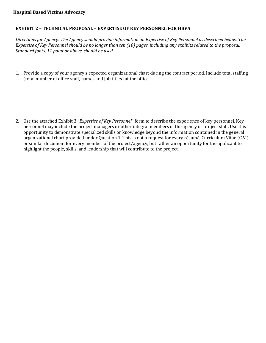## **EXHIBIT 2 – TECHNICAL PROPOSAL – EXPERTISE OF KEY PERSONNEL FOR HBVA**

*Directions for Agency: The Agency should provide information on Expertise of Key Personnel as described below. The Expertise of Key Personnel should be no longer than ten (10) pages, including any exhibits related to the proposal. Standard fonts, 11 point or above, should be used.*

1. Provide a copy of your agency's expected organizational chart during the contract period. Include total staffing (total number of office staff, names and job titles) at the office.

2. Use the attached Exhibit 3 "*Expertise of Key Personnel*" form to describe the experience of key personnel. Key personnel may include the project managers or other integral members of the agency or project staff. Use this opportunity to demonstrate specialized skills or knowledge beyond the information contained in the general organizational chart provided under Question 1. This is not a request for every résumé, Curriculum Vitae (C.V.), or similar document for every member of the project/agency, but rather an opportunity for the applicant to highlight the people, skills, and leadership that will contribute to the project.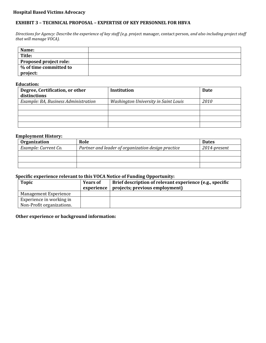# **EXHIBIT 3 – TECHNICAL PROPOSAL – EXPERTISE OF KEY PERSONNEL FOR HBVA**

*Directions for Agency: Describe the experience of key staff (e.g. p*roject manager, contact person*, and also including project staff that will manage VOCA).* 

| Name:                         |  |
|-------------------------------|--|
| Title:                        |  |
| <b>Proposed project role:</b> |  |
| % of time committed to        |  |
| project:                      |  |

#### **Education:**

| Degree, Certification, or other<br>distinctions | Institution                          | <b>Date</b> |
|-------------------------------------------------|--------------------------------------|-------------|
|                                                 |                                      |             |
| Example: BA, Business Administration            | Washington University in Saint Louis | <i>2010</i> |
|                                                 |                                      |             |
|                                                 |                                      |             |
|                                                 |                                      |             |
|                                                 |                                      |             |

## **Employment History:**

| <b>Organization</b>  | Role                                               | <b>Dates</b> |  |
|----------------------|----------------------------------------------------|--------------|--|
| Example: Current Co. | Partner and leader of organization design practice | 2014-present |  |
|                      |                                                    |              |  |
|                      |                                                    |              |  |
|                      |                                                    |              |  |

#### **Specific experience relevant to this VOCA Notice of Funding Opportunity:**

| <b>Topic</b>                 | <b>Years of</b><br>experience | Brief description of relevant experience (e.g., specific<br>projects; previous employment) |
|------------------------------|-------------------------------|--------------------------------------------------------------------------------------------|
| <b>Management Experience</b> |                               |                                                                                            |
| Experience in working in     |                               |                                                                                            |
| Non-Profit organizations.    |                               |                                                                                            |

#### **Other experience or background information:**